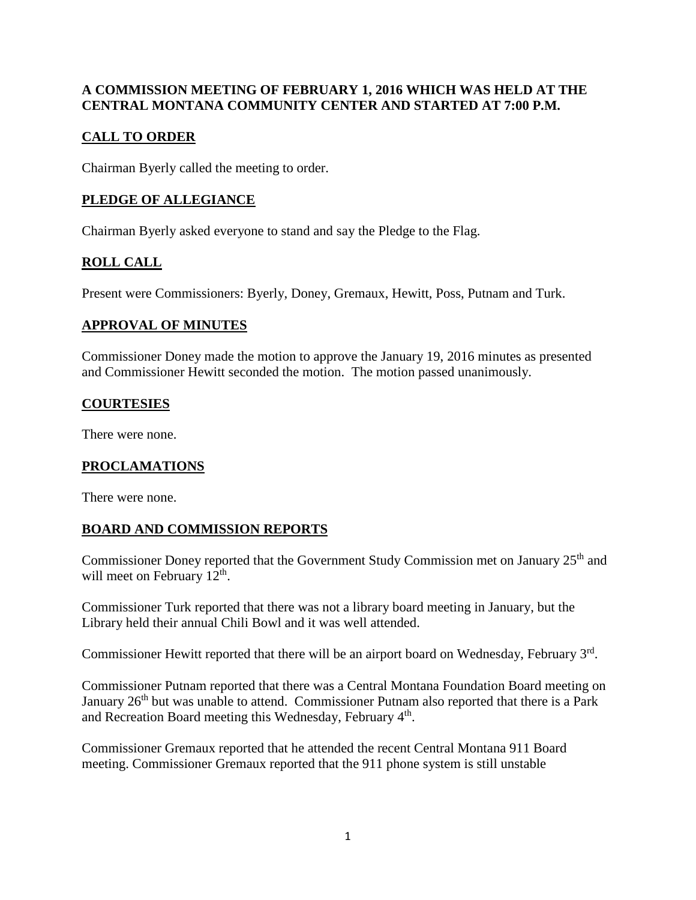## **A COMMISSION MEETING OF FEBRUARY 1, 2016 WHICH WAS HELD AT THE CENTRAL MONTANA COMMUNITY CENTER AND STARTED AT 7:00 P.M.**

# **CALL TO ORDER**

Chairman Byerly called the meeting to order.

# **PLEDGE OF ALLEGIANCE**

Chairman Byerly asked everyone to stand and say the Pledge to the Flag.

# **ROLL CALL**

Present were Commissioners: Byerly, Doney, Gremaux, Hewitt, Poss, Putnam and Turk.

### **APPROVAL OF MINUTES**

Commissioner Doney made the motion to approve the January 19, 2016 minutes as presented and Commissioner Hewitt seconded the motion. The motion passed unanimously.

### **COURTESIES**

There were none.

### **PROCLAMATIONS**

There were none.

### **BOARD AND COMMISSION REPORTS**

Commissioner Doney reported that the Government Study Commission met on January 25<sup>th</sup> and will meet on February  $12<sup>th</sup>$ .

Commissioner Turk reported that there was not a library board meeting in January, but the Library held their annual Chili Bowl and it was well attended.

Commissioner Hewitt reported that there will be an airport board on Wednesday, February 3rd.

Commissioner Putnam reported that there was a Central Montana Foundation Board meeting on January 26<sup>th</sup> but was unable to attend. Commissioner Putnam also reported that there is a Park and Recreation Board meeting this Wednesday, February 4<sup>th</sup>.

Commissioner Gremaux reported that he attended the recent Central Montana 911 Board meeting. Commissioner Gremaux reported that the 911 phone system is still unstable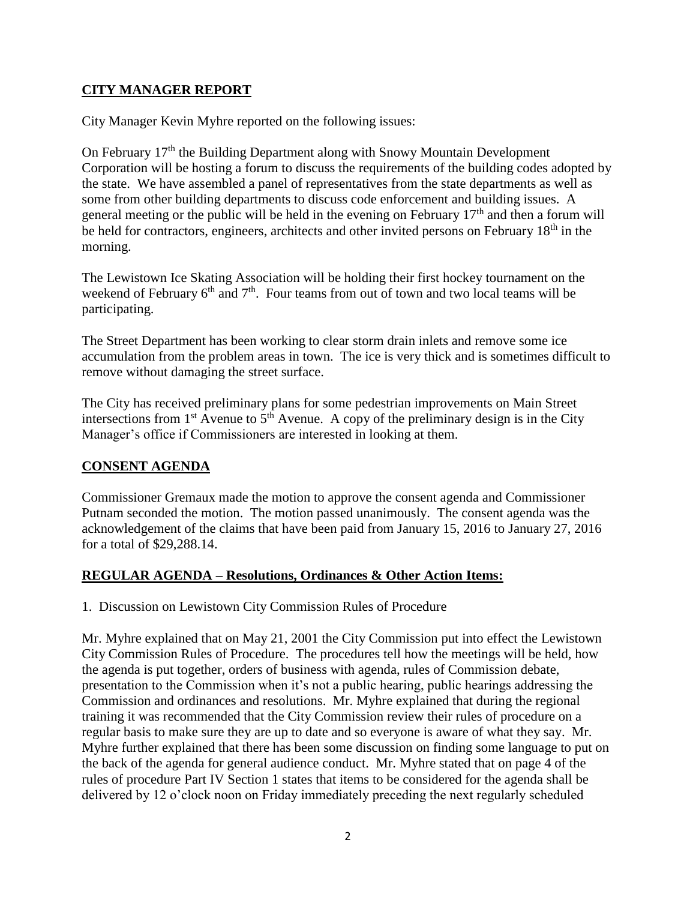# **CITY MANAGER REPORT**

City Manager Kevin Myhre reported on the following issues:

On February 17<sup>th</sup> the Building Department along with Snowy Mountain Development Corporation will be hosting a forum to discuss the requirements of the building codes adopted by the state. We have assembled a panel of representatives from the state departments as well as some from other building departments to discuss code enforcement and building issues. A general meeting or the public will be held in the evening on February  $17<sup>th</sup>$  and then a forum will be held for contractors, engineers, architects and other invited persons on February 18<sup>th</sup> in the morning.

The Lewistown Ice Skating Association will be holding their first hockey tournament on the weekend of February  $6<sup>th</sup>$  and  $7<sup>th</sup>$ . Four teams from out of town and two local teams will be participating.

The Street Department has been working to clear storm drain inlets and remove some ice accumulation from the problem areas in town. The ice is very thick and is sometimes difficult to remove without damaging the street surface.

The City has received preliminary plans for some pedestrian improvements on Main Street intersections from  $1<sup>st</sup>$  Avenue to  $5<sup>th</sup>$  Avenue. A copy of the preliminary design is in the City Manager's office if Commissioners are interested in looking at them.

### **CONSENT AGENDA**

Commissioner Gremaux made the motion to approve the consent agenda and Commissioner Putnam seconded the motion. The motion passed unanimously. The consent agenda was the acknowledgement of the claims that have been paid from January 15, 2016 to January 27, 2016 for a total of \$29,288.14.

### **REGULAR AGENDA – Resolutions, Ordinances & Other Action Items:**

1. Discussion on Lewistown City Commission Rules of Procedure

Mr. Myhre explained that on May 21, 2001 the City Commission put into effect the Lewistown City Commission Rules of Procedure. The procedures tell how the meetings will be held, how the agenda is put together, orders of business with agenda, rules of Commission debate, presentation to the Commission when it's not a public hearing, public hearings addressing the Commission and ordinances and resolutions. Mr. Myhre explained that during the regional training it was recommended that the City Commission review their rules of procedure on a regular basis to make sure they are up to date and so everyone is aware of what they say. Mr. Myhre further explained that there has been some discussion on finding some language to put on the back of the agenda for general audience conduct. Mr. Myhre stated that on page 4 of the rules of procedure Part IV Section 1 states that items to be considered for the agenda shall be delivered by 12 o'clock noon on Friday immediately preceding the next regularly scheduled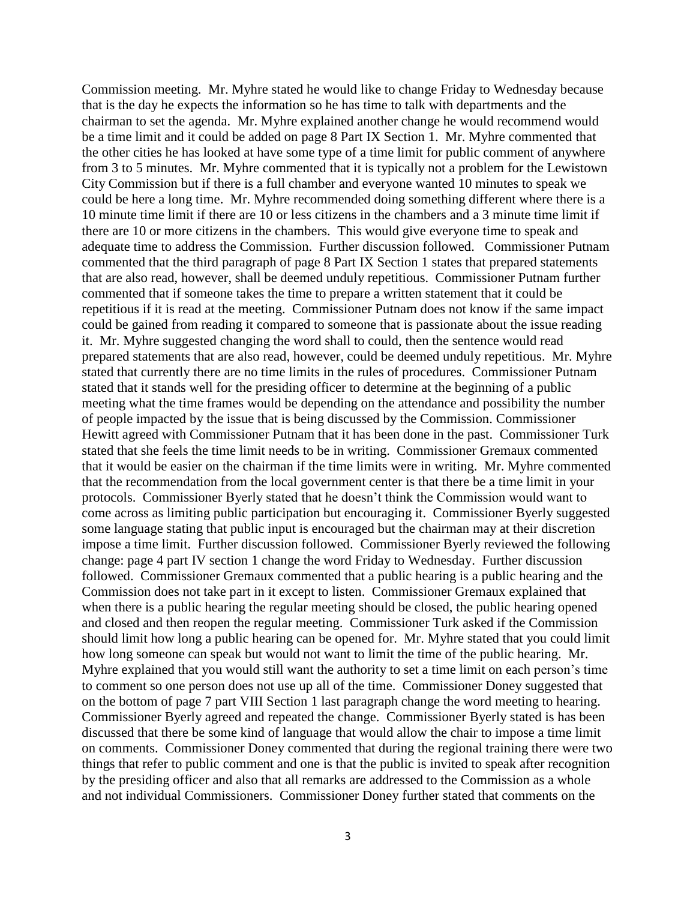Commission meeting. Mr. Myhre stated he would like to change Friday to Wednesday because that is the day he expects the information so he has time to talk with departments and the chairman to set the agenda. Mr. Myhre explained another change he would recommend would be a time limit and it could be added on page 8 Part IX Section 1. Mr. Myhre commented that the other cities he has looked at have some type of a time limit for public comment of anywhere from 3 to 5 minutes. Mr. Myhre commented that it is typically not a problem for the Lewistown City Commission but if there is a full chamber and everyone wanted 10 minutes to speak we could be here a long time. Mr. Myhre recommended doing something different where there is a 10 minute time limit if there are 10 or less citizens in the chambers and a 3 minute time limit if there are 10 or more citizens in the chambers. This would give everyone time to speak and adequate time to address the Commission. Further discussion followed. Commissioner Putnam commented that the third paragraph of page 8 Part IX Section 1 states that prepared statements that are also read, however, shall be deemed unduly repetitious. Commissioner Putnam further commented that if someone takes the time to prepare a written statement that it could be repetitious if it is read at the meeting. Commissioner Putnam does not know if the same impact could be gained from reading it compared to someone that is passionate about the issue reading it. Mr. Myhre suggested changing the word shall to could, then the sentence would read prepared statements that are also read, however, could be deemed unduly repetitious. Mr. Myhre stated that currently there are no time limits in the rules of procedures. Commissioner Putnam stated that it stands well for the presiding officer to determine at the beginning of a public meeting what the time frames would be depending on the attendance and possibility the number of people impacted by the issue that is being discussed by the Commission. Commissioner Hewitt agreed with Commissioner Putnam that it has been done in the past. Commissioner Turk stated that she feels the time limit needs to be in writing. Commissioner Gremaux commented that it would be easier on the chairman if the time limits were in writing. Mr. Myhre commented that the recommendation from the local government center is that there be a time limit in your protocols. Commissioner Byerly stated that he doesn't think the Commission would want to come across as limiting public participation but encouraging it. Commissioner Byerly suggested some language stating that public input is encouraged but the chairman may at their discretion impose a time limit. Further discussion followed. Commissioner Byerly reviewed the following change: page 4 part IV section 1 change the word Friday to Wednesday. Further discussion followed. Commissioner Gremaux commented that a public hearing is a public hearing and the Commission does not take part in it except to listen. Commissioner Gremaux explained that when there is a public hearing the regular meeting should be closed, the public hearing opened and closed and then reopen the regular meeting. Commissioner Turk asked if the Commission should limit how long a public hearing can be opened for. Mr. Myhre stated that you could limit how long someone can speak but would not want to limit the time of the public hearing. Mr. Myhre explained that you would still want the authority to set a time limit on each person's time to comment so one person does not use up all of the time. Commissioner Doney suggested that on the bottom of page 7 part VIII Section 1 last paragraph change the word meeting to hearing. Commissioner Byerly agreed and repeated the change. Commissioner Byerly stated is has been discussed that there be some kind of language that would allow the chair to impose a time limit on comments. Commissioner Doney commented that during the regional training there were two things that refer to public comment and one is that the public is invited to speak after recognition by the presiding officer and also that all remarks are addressed to the Commission as a whole and not individual Commissioners. Commissioner Doney further stated that comments on the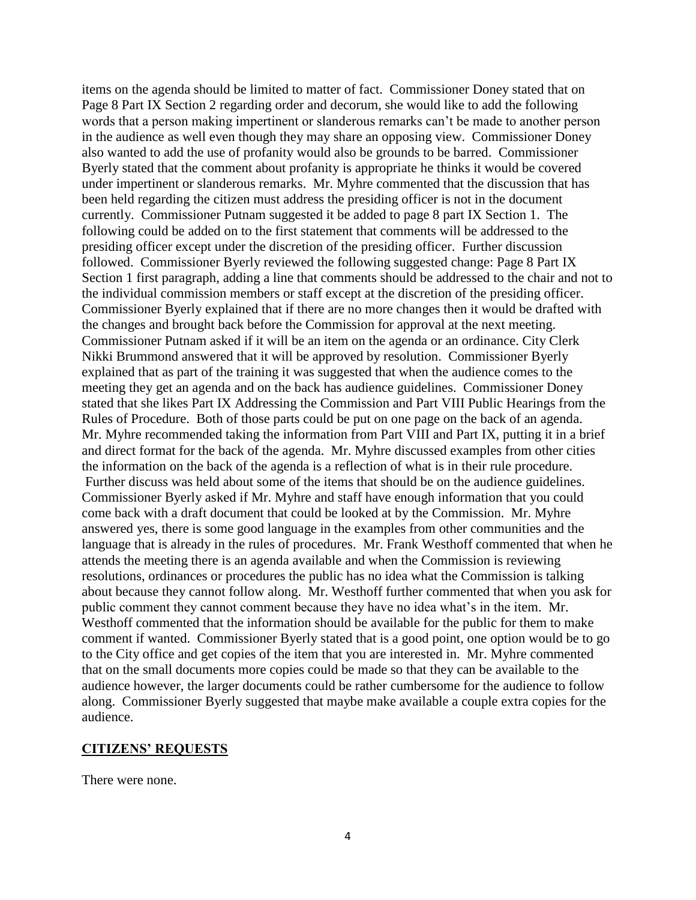items on the agenda should be limited to matter of fact. Commissioner Doney stated that on Page 8 Part IX Section 2 regarding order and decorum, she would like to add the following words that a person making impertinent or slanderous remarks can't be made to another person in the audience as well even though they may share an opposing view. Commissioner Doney also wanted to add the use of profanity would also be grounds to be barred. Commissioner Byerly stated that the comment about profanity is appropriate he thinks it would be covered under impertinent or slanderous remarks. Mr. Myhre commented that the discussion that has been held regarding the citizen must address the presiding officer is not in the document currently. Commissioner Putnam suggested it be added to page 8 part IX Section 1. The following could be added on to the first statement that comments will be addressed to the presiding officer except under the discretion of the presiding officer. Further discussion followed. Commissioner Byerly reviewed the following suggested change: Page 8 Part IX Section 1 first paragraph, adding a line that comments should be addressed to the chair and not to the individual commission members or staff except at the discretion of the presiding officer. Commissioner Byerly explained that if there are no more changes then it would be drafted with the changes and brought back before the Commission for approval at the next meeting. Commissioner Putnam asked if it will be an item on the agenda or an ordinance. City Clerk Nikki Brummond answered that it will be approved by resolution. Commissioner Byerly explained that as part of the training it was suggested that when the audience comes to the meeting they get an agenda and on the back has audience guidelines. Commissioner Doney stated that she likes Part IX Addressing the Commission and Part VIII Public Hearings from the Rules of Procedure. Both of those parts could be put on one page on the back of an agenda. Mr. Myhre recommended taking the information from Part VIII and Part IX, putting it in a brief and direct format for the back of the agenda. Mr. Myhre discussed examples from other cities the information on the back of the agenda is a reflection of what is in their rule procedure. Further discuss was held about some of the items that should be on the audience guidelines. Commissioner Byerly asked if Mr. Myhre and staff have enough information that you could come back with a draft document that could be looked at by the Commission. Mr. Myhre answered yes, there is some good language in the examples from other communities and the language that is already in the rules of procedures. Mr. Frank Westhoff commented that when he attends the meeting there is an agenda available and when the Commission is reviewing resolutions, ordinances or procedures the public has no idea what the Commission is talking about because they cannot follow along. Mr. Westhoff further commented that when you ask for public comment they cannot comment because they have no idea what's in the item. Mr. Westhoff commented that the information should be available for the public for them to make comment if wanted. Commissioner Byerly stated that is a good point, one option would be to go to the City office and get copies of the item that you are interested in. Mr. Myhre commented that on the small documents more copies could be made so that they can be available to the audience however, the larger documents could be rather cumbersome for the audience to follow along. Commissioner Byerly suggested that maybe make available a couple extra copies for the audience.

#### **CITIZENS' REQUESTS**

There were none.